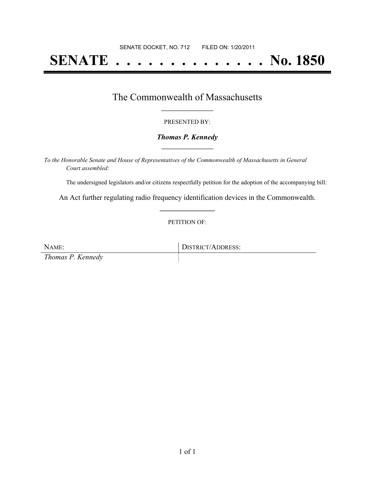# **SENATE . . . . . . . . . . . . . . No. 1850**

### The Commonwealth of Massachusetts **\_\_\_\_\_\_\_\_\_\_\_\_\_\_\_\_\_**

#### PRESENTED BY:

#### *Thomas P. Kennedy* **\_\_\_\_\_\_\_\_\_\_\_\_\_\_\_\_\_**

*To the Honorable Senate and House of Representatives of the Commonwealth of Massachusetts in General Court assembled:*

The undersigned legislators and/or citizens respectfully petition for the adoption of the accompanying bill:

An Act further regulating radio frequency identification devices in the Commonwealth. **\_\_\_\_\_\_\_\_\_\_\_\_\_\_\_**

#### PETITION OF:

NAME: DISTRICT/ADDRESS: *Thomas P. Kennedy*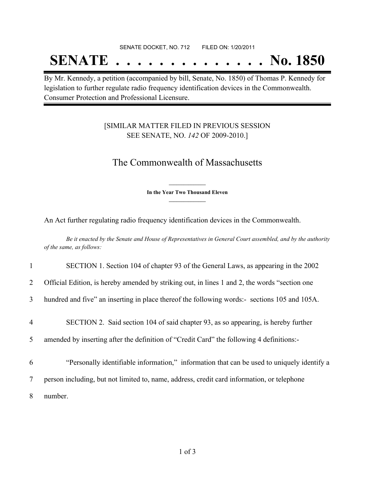#### SENATE DOCKET, NO. 712 FILED ON: 1/20/2011

## **SENATE . . . . . . . . . . . . . . No. 1850**

By Mr. Kennedy, a petition (accompanied by bill, Senate, No. 1850) of Thomas P. Kennedy for legislation to further regulate radio frequency identification devices in the Commonwealth. Consumer Protection and Professional Licensure.

### [SIMILAR MATTER FILED IN PREVIOUS SESSION SEE SENATE, NO. *142* OF 2009-2010.]

## The Commonwealth of Massachusetts

**\_\_\_\_\_\_\_\_\_\_\_\_\_\_\_ In the Year Two Thousand Eleven \_\_\_\_\_\_\_\_\_\_\_\_\_\_\_**

An Act further regulating radio frequency identification devices in the Commonwealth.

Be it enacted by the Senate and House of Representatives in General Court assembled, and by the authority *of the same, as follows:*

| $\mathbf{1}$   | SECTION 1. Section 104 of chapter 93 of the General Laws, as appearing in the 2002            |
|----------------|-----------------------------------------------------------------------------------------------|
| $\overline{2}$ | Official Edition, is hereby amended by striking out, in lines 1 and 2, the words "section one |
| 3              | hundred and five" an inserting in place thereof the following words:- sections 105 and 105A.  |
| 4              | SECTION 2. Said section 104 of said chapter 93, as so appearing, is hereby further            |
| 5              | amended by inserting after the definition of "Credit Card" the following 4 definitions:-      |
| 6              | "Personally identifiable information," information that can be used to uniquely identify a    |
| 7              | person including, but not limited to, name, address, credit card information, or telephone    |
| 8              | number.                                                                                       |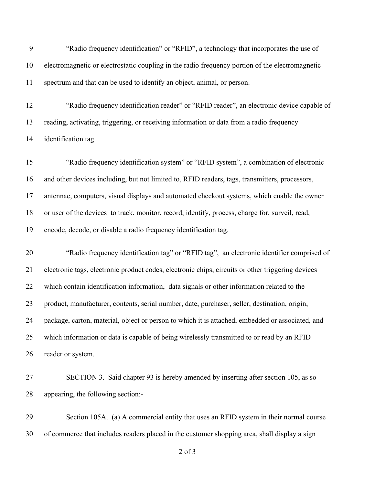"Radio frequency identification" or "RFID", a technology that incorporates the use of electromagnetic or electrostatic coupling in the radio frequency portion of the electromagnetic spectrum and that can be used to identify an object, animal, or person.

 "Radio frequency identification reader" or "RFID reader", an electronic device capable of reading, activating, triggering, or receiving information or data from a radio frequency identification tag.

 "Radio frequency identification system" or "RFID system", a combination of electronic and other devices including, but not limited to, RFID readers, tags, transmitters, processors, antennae, computers, visual displays and automated checkout systems, which enable the owner or user of the devices to track, monitor, record, identify, process, charge for, surveil, read, encode, decode, or disable a radio frequency identification tag.

 "Radio frequency identification tag" or "RFID tag", an electronic identifier comprised of electronic tags, electronic product codes, electronic chips, circuits or other triggering devices which contain identification information, data signals or other information related to the product, manufacturer, contents, serial number, date, purchaser, seller, destination, origin, package, carton, material, object or person to which it is attached, embedded or associated, and which information or data is capable of being wirelessly transmitted to or read by an RFID reader or system.

 SECTION 3. Said chapter 93 is hereby amended by inserting after section 105, as so appearing, the following section:-

 Section 105A. (a) A commercial entity that uses an RFID system in their normal course of commerce that includes readers placed in the customer shopping area, shall display a sign

of 3